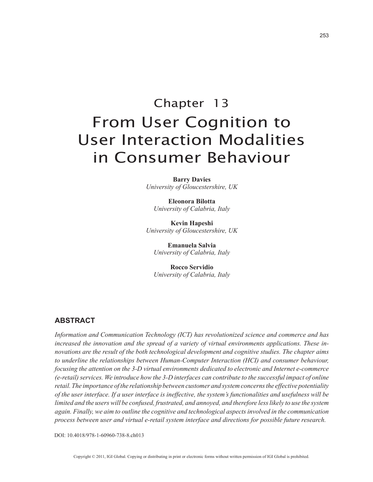# Chapter 13 From User Cognition to User Interaction Modalities in Consumer Behaviour

**Barry Davies** *University of Gloucestershire, UK*

**Eleonora Bilotta** *University of Calabria, Italy*

**Kevin Hapeshi** *University of Gloucestershire, UK*

**Emanuela Salvia** *University of Calabria, Italy*

**Rocco Servidio** *University of Calabria, Italy*

# **ABSTRACT**

*Information and Communication Technology (ICT) has revolutionized science and commerce and has increased the innovation and the spread of a variety of virtual environments applications. These innovations are the result of the both technological development and cognitive studies. The chapter aims to underline the relationships between Human-Computer Interaction (HCI) and consumer behaviour, focusing the attention on the 3-D virtual environments dedicated to electronic and Internet e-commerce (e-retail) services. We introduce how the 3-D interfaces can contribute to the successful impact of online retail. The importance of the relationship between customer and system concerns the effective potentiality of the user interface. If a user interface is ineffective, the system's functionalities and usefulness will be limited and the users will be confused, frustrated, and annoyed, and therefore less likely to use the system again. Finally, we aim to outline the cognitive and technological aspects involved in the communication process between user and virtual e-retail system interface and directions for possible future research.*

DOI: 10.4018/978-1-60960-738-8.ch013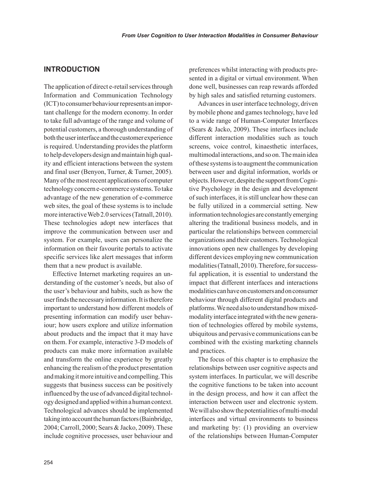# **INTRODUCTION**

The application of direct e-retail services through Information and Communication Technology (ICT) to consumer behaviour represents an important challenge for the modern economy. In order to take full advantage of the range and volume of potential customers, a thorough understanding of both the user interface and the customer experience is required. Understanding provides the platform to help developers design and maintain high quality and efficient interactions between the system and final user (Benyon, Turner, & Turner, 2005). Many of the most recent applications of computer technology concern e-commerce systems. To take advantage of the new generation of e-commerce web sites, the goal of these systems is to include more interactive Web 2.0 services (Tatnall, 2010). These technologies adopt new interfaces that improve the communication between user and system. For example, users can personalize the information on their favourite portals to activate specific services like alert messages that inform them that a new product is available.

Effective Internet marketing requires an understanding of the customer's needs, but also of the user's behaviour and habits, such as how the user finds the necessary information. It is therefore important to understand how different models of presenting information can modify user behaviour; how users explore and utilize information about products and the impact that it may have on them. For example, interactive 3-D models of products can make more information available and transform the online experience by greatly enhancing the realism of the product presentation and making it more intuitive and compelling. This suggests that business success can be positively influenced by the use of advanced digital technology designed and applied within a human context. Technological advances should be implemented taking into account the human factors (Bainbridge, 2004; Carroll, 2000; Sears & Jacko, 2009). These include cognitive processes, user behaviour and preferences whilst interacting with products presented in a digital or virtual environment. When done well, businesses can reap rewards afforded by high sales and satisfied returning customers.

Advances in user interface technology, driven by mobile phone and games technology, have led to a wide range of Human-Computer Interfaces (Sears & Jacko, 2009). These interfaces include different interaction modalities such as touch screens, voice control, kinaesthetic interfaces, multimodal interactions, and so on. The main idea of these systems is to augment the communication between user and digital information, worlds or objects. However, despite the support from Cognitive Psychology in the design and development of such interfaces, it is still unclear how these can be fully utilized in a commercial setting. New information technologies are constantly emerging altering the traditional business models, and in particular the relationships between commercial organizations and their customers. Technological innovations open new challenges by developing different devices employing new communication modalities (Tatnall, 2010). Therefore, for successful application, it is essential to understand the impact that different interfaces and interactions modalities can have on customers and on consumer behaviour through different digital products and platforms. We need also to understand how mixedmodality interface integrated with the new generation of technologies offered by mobile systems, ubiquitous and pervasive communications can be combined with the existing marketing channels and practices.

The focus of this chapter is to emphasize the relationships between user cognitive aspects and system interfaces. In particular, we will describe the cognitive functions to be taken into account in the design process, and how it can affect the interaction between user and electronic system. We will also show the potentialities of multi-modal interfaces and virtual environments to business and marketing by: (1) providing an overview of the relationships between Human-Computer